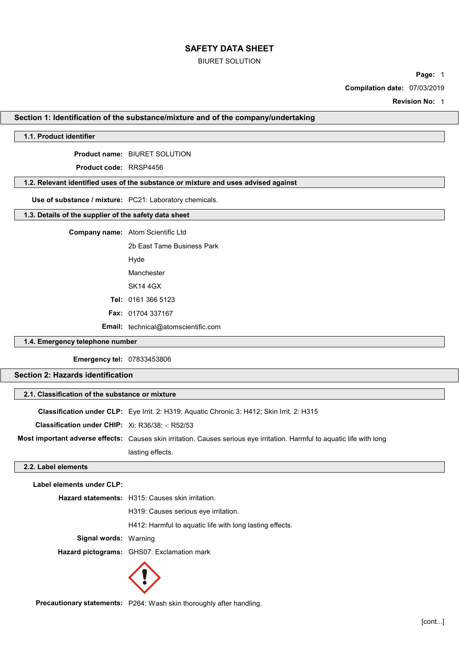#### BIURET SOLUTION

Page: 1

Compilation date: 07/03/2019

Revision No: 1

#### Section 1: Identification of the substance/mixture and of the company/undertaking

## 1.1. Product identifier

Product name: BIURET SOLUTION

Product code: RRSP4456

## 1.2. Relevant identified uses of the substance or mixture and uses advised against

Use of substance / mixture: PC21: Laboratory chemicals.

## 1.3. Details of the supplier of the safety data sheet

| <b>Company name:</b> Atom Scientific Ltd   |
|--------------------------------------------|
| 2b Fast Tame Business Park                 |
| Hyde                                       |
| Manchester                                 |
| <b>SK14 4GX</b>                            |
| <b>Tel: 0161 366 5123</b>                  |
| <b>Fax: 01704 337167</b>                   |
| <b>Email:</b> technical@atomscientific.com |

## 1.4. Emergency telephone number

Emergency tel: 07833453806

## Section 2: Hazards identification

## 2.1. Classification of the substance or mixture

|                                                  | <b>Classification under CLP:</b> Eye Irrit. 2: H319; Aquatic Chronic 3: H412; Skin Irrit. 2: H315                        |
|--------------------------------------------------|--------------------------------------------------------------------------------------------------------------------------|
| Classification under CHIP: Xi: R36/38; -: R52/53 |                                                                                                                          |
|                                                  | Most important adverse effects: Causes skin irritation. Causes serious eye irritation. Harmful to aquatic life with long |
|                                                  | lasting effects.                                                                                                         |

## 2.2. Label elements

Label elements under CLP:

Hazard statements: H315: Causes skin irritation. H319: Causes serious eye irritation. H412: Harmful to aquatic life with long lasting effects. Signal words: Warning Hazard pictograms: GHS07: Exclamation mark



Precautionary statements: P264: Wash skin thoroughly after handling.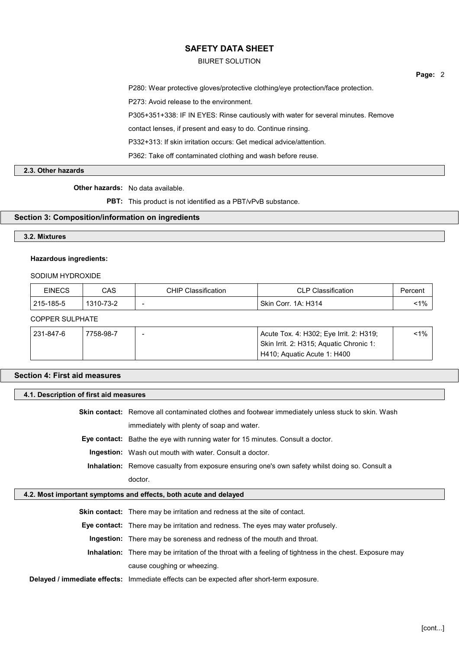BIURET SOLUTION

P280: Wear protective gloves/protective clothing/eye protection/face protection. P273: Avoid release to the environment. P305+351+338: IF IN EYES: Rinse cautiously with water for several minutes. Remove contact lenses, if present and easy to do. Continue rinsing. P332+313: If skin irritation occurs: Get medical advice/attention.

P362: Take off contaminated clothing and wash before reuse.

#### 2.3. Other hazards

#### Other hazards: No data available.

PBT: This product is not identified as a PBT/vPvB substance.

## Section 3: Composition/information on ingredients

## 3.2. Mixtures

#### Hazardous ingredients:

## SODIUM HYDROXIDE

| EINECS    | CAS       | <b>CHIP Classification</b> | <b>CLP Classification</b> | Percent |
|-----------|-----------|----------------------------|---------------------------|---------|
| 215-185-5 | 1310-73-2 | $\overline{\phantom{a}}$   | Skin Corr. 1A: H314       | $1\%$   |

#### COPPER SULPHATE

| 231-847-6 | 7758-98-7 | Acute Tox. 4: H302; Eye Irrit. 2: H319; | <1% |
|-----------|-----------|-----------------------------------------|-----|
|           |           | Skin Irrit. 2: H315; Aquatic Chronic 1: |     |
|           |           | H410; Aquatic Acute 1: H400             |     |

#### Section 4: First aid measures

#### 4.1. Description of first aid measures

Skin contact: Remove all contaminated clothes and footwear immediately unless stuck to skin. Wash immediately with plenty of soap and water.

Eye contact: Bathe the eye with running water for 15 minutes. Consult a doctor.

Ingestion: Wash out mouth with water. Consult a doctor.

Inhalation: Remove casualty from exposure ensuring one's own safety whilst doing so. Consult a doctor.

#### 4.2. Most important symptoms and effects, both acute and delayed

Skin contact: There may be irritation and redness at the site of contact.

Eye contact: There may be irritation and redness. The eyes may water profusely.

Ingestion: There may be soreness and redness of the mouth and throat.

Inhalation: There may be irritation of the throat with a feeling of tightness in the chest. Exposure may cause coughing or wheezing.

Delayed / immediate effects: Immediate effects can be expected after short-term exposure.

Page: 2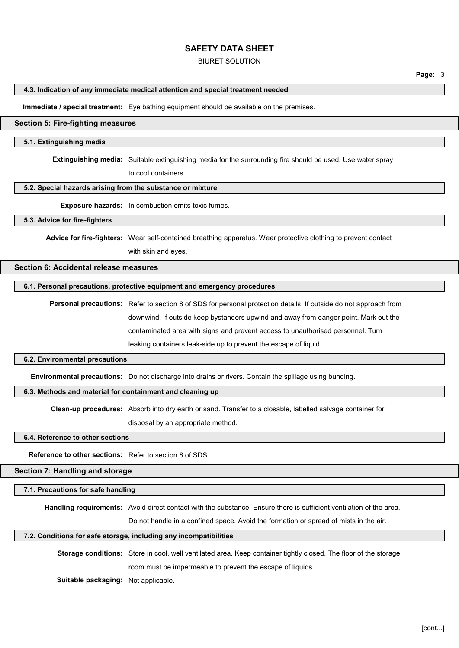#### BIURET SOLUTION

#### 4.3. Indication of any immediate medical attention and special treatment needed

Immediate / special treatment: Eye bathing equipment should be available on the premises.

## Section 5: Fire-fighting measures

#### 5.1. Extinguishing media

Extinguishing media: Suitable extinguishing media for the surrounding fire should be used. Use water spray

to cool containers.

#### 5.2. Special hazards arising from the substance or mixture

Exposure hazards: In combustion emits toxic fumes.

#### 5.3. Advice for fire-fighters

Advice for fire-fighters: Wear self-contained breathing apparatus. Wear protective clothing to prevent contact with skin and eyes.

## Section 6: Accidental release measures

#### 6.1. Personal precautions, protective equipment and emergency procedures

Personal precautions: Refer to section 8 of SDS for personal protection details. If outside do not approach from downwind. If outside keep bystanders upwind and away from danger point. Mark out the contaminated area with signs and prevent access to unauthorised personnel. Turn leaking containers leak-side up to prevent the escape of liquid.

#### 6.2. Environmental precautions

Environmental precautions: Do not discharge into drains or rivers. Contain the spillage using bunding.

## 6.3. Methods and material for containment and cleaning up

Clean-up procedures: Absorb into dry earth or sand. Transfer to a closable, labelled salvage container for

disposal by an appropriate method.

#### 6.4. Reference to other sections

Reference to other sections: Refer to section 8 of SDS.

#### Section 7: Handling and storage

7.1. Precautions for safe handling

Handling requirements: Avoid direct contact with the substance. Ensure there is sufficient ventilation of the area.

Do not handle in a confined space. Avoid the formation or spread of mists in the air.

#### 7.2. Conditions for safe storage, including any incompatibilities

Storage conditions: Store in cool, well ventilated area. Keep container tightly closed. The floor of the storage room must be impermeable to prevent the escape of liquids.

Suitable packaging: Not applicable.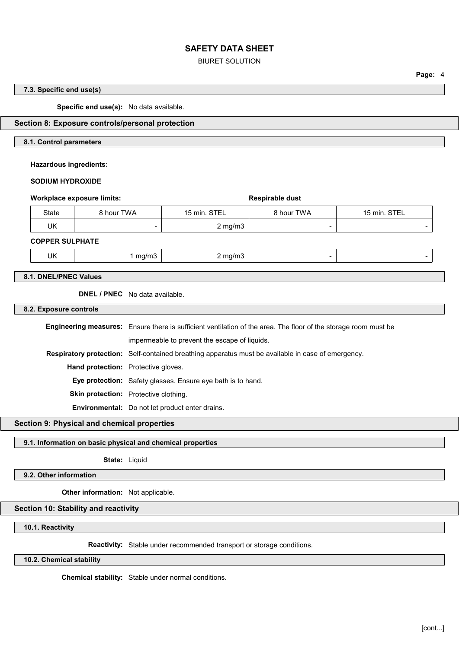#### BIURET SOLUTION

Page: 4

## 7.3. Specific end use(s)

Specific end use(s): No data available.

#### Section 8: Exposure controls/personal protection

## 8.1. Control parameters

Hazardous ingredients:

## SODIUM HYDROXIDE

| 15 min. STEL<br>8 hour TWA | 15 min. STEL     |
|----------------------------|------------------|
| $\sim$                     |                  |
|                            | $2 \text{ mg/m}$ |

UK 1 mg/m3 2 mg/m3 - -

## 8.1. DNEL/PNEC Values

DNEL / PNEC No data available.

8.2. Exposure controls

| <b>Engineering measures:</b> Ensure there is sufficient ventilation of the area. The floor of the storage room must be |
|------------------------------------------------------------------------------------------------------------------------|
| impermeable to prevent the escape of liquids.                                                                          |
| Respiratory protection: Self-contained breathing apparatus must be available in case of emergency.                     |
| Hand protection: Protective gloves.                                                                                    |
| <b>Eye protection:</b> Safety glasses. Ensure eye bath is to hand.                                                     |
| <b>Skin protection:</b> Protective clothing.                                                                           |
| Environmental: Do not let product enter drains.                                                                        |

## Section 9: Physical and chemical properties

#### 9.1. Information on basic physical and chemical properties

State: Liquid

## 9.2. Other information

Other information: Not applicable.

## Section 10: Stability and reactivity

10.1. Reactivity

Reactivity: Stable under recommended transport or storage conditions.

## 10.2. Chemical stability

Chemical stability: Stable under normal conditions.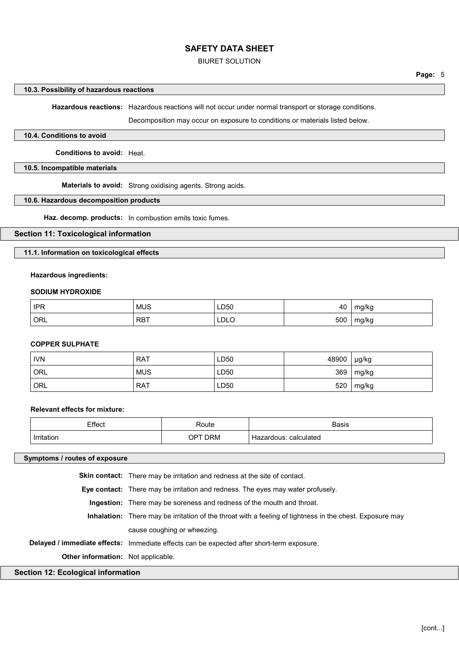#### BIURET SOLUTION

# 10.3. Possibility of hazardous reactions

Hazardous reactions: Hazardous reactions will not occur under normal transport or storage conditions.

Decomposition may occur on exposure to conditions or materials listed below.

## 10.4. Conditions to avoid

Conditions to avoid: Heat.

#### 10.5. Incompatible materials

Materials to avoid: Strong oxidising agents. Strong acids.

#### 10.6. Hazardous decomposition products

Haz. decomp. products: In combustion emits toxic fumes.

## Section 11: Toxicological information

11.1. Information on toxicological effects

## Hazardous ingredients:

#### SODIUM HYDROXIDE

| <b>IPR</b> | <b>MUS</b> | LD50         | 40  | mg/kg |
|------------|------------|--------------|-----|-------|
| ORL        | <b>RBT</b> | LDLO<br>____ | 500 | mg/kg |

#### COPPER SULPHATE

| <b>IVN</b> | <b>RAT</b> | LD50 | 48900 | µg/kg |
|------------|------------|------|-------|-------|
| ORL        | <b>MUS</b> | LD50 | 369   | mg/kg |
| ORL        | <b>RAT</b> | LD50 | 520   | mg/kg |

## Relevant effects for mixture:

| Effect | Route             | <b>Basis</b>                          |
|--------|-------------------|---------------------------------------|
|        |                   |                                       |
| .      | OP.<br><b>DRM</b> | calculated<br>-lazardous <sup>.</sup> |

## Symptoms / routes of exposure

| <b>Section 12: Ecological information</b> |                                                                                                                 |
|-------------------------------------------|-----------------------------------------------------------------------------------------------------------------|
| <b>Other information:</b> Not applicable. |                                                                                                                 |
|                                           | Delayed / immediate effects: Immediate effects can be expected after short-term exposure.                       |
|                                           | cause coughing or wheezing.                                                                                     |
|                                           | <b>Inhalation:</b> There may be irritation of the throat with a feeling of tightness in the chest. Exposure may |
|                                           | <b>Ingestion:</b> There may be soreness and redness of the mouth and throat.                                    |
|                                           | <b>Eye contact:</b> There may be irritation and redness. The eyes may water profusely.                          |
|                                           | <b>Skin contact:</b> There may be irritation and redness at the site of contact.                                |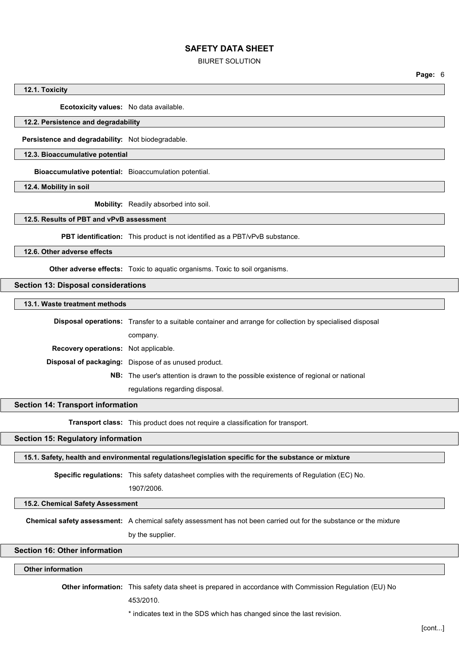#### BIURET SOLUTION

12.1. Toxicity

Ecotoxicity values: No data available.

## 12.2. Persistence and degradability

Persistence and degradability: Not biodegradable.

## 12.3. Bioaccumulative potential

Bioaccumulative potential: Bioaccumulation potential.

12.4. Mobility in soil

Mobility: Readily absorbed into soil.

## 12.5. Results of PBT and vPvB assessment

PBT identification: This product is not identified as a PBT/vPvB substance.

12.6. Other adverse effects

Other adverse effects: Toxic to aquatic organisms. Toxic to soil organisms.

## Section 13: Disposal considerations

#### 13.1. Waste treatment methods

|                                             | <b>Disposal operations:</b> Transfer to a suitable container and arrange for collection by specialised disposal |  |
|---------------------------------------------|-----------------------------------------------------------------------------------------------------------------|--|
|                                             | company.                                                                                                        |  |
| <b>Recovery operations:</b> Not applicable. |                                                                                                                 |  |
|                                             | <b>Disposal of packaging:</b> Dispose of as unused product.                                                     |  |
|                                             | <b>NB:</b> The user's attention is drawn to the possible existence of regional or national                      |  |
|                                             |                                                                                                                 |  |

regulations regarding disposal.

#### Section 14: Transport information

Transport class: This product does not require a classification for transport.

## Section 15: Regulatory information

15.1. Safety, health and environmental regulations/legislation specific for the substance or mixture

Specific regulations: This safety datasheet complies with the requirements of Regulation (EC) No.

1907/2006.

# 15.2. Chemical Safety Assessment

Chemical safety assessment: A chemical safety assessment has not been carried out for the substance or the mixture

by the supplier.

#### Section 16: Other information

# Other information

Other information: This safety data sheet is prepared in accordance with Commission Regulation (EU) No

453/2010.

\* indicates text in the SDS which has changed since the last revision.

Page: 6